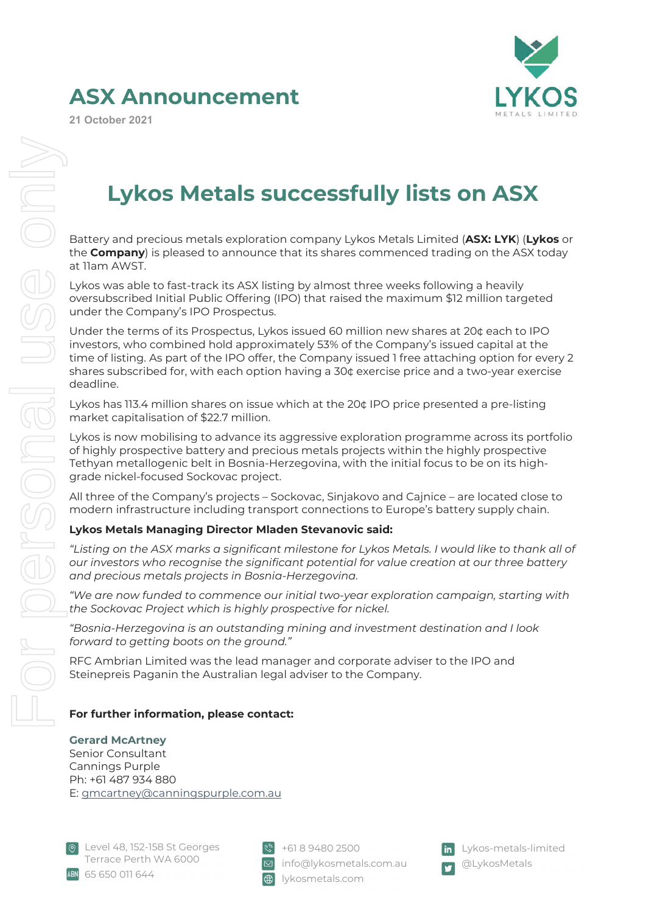# **ASX Announcement**

**21 October 2021**

e onl

ISONSI



# **Lykos Metals successfully lists on ASX**

Battery and precious metals exploration company Lykos Metals Limited (**ASX: LYK**) (**Lykos** or the **Company**) is pleased to announce that its shares commenced trading on the ASX today at 11am AWST.

Lykos was able to fast-track its ASX listing by almost three weeks following a heavily oversubscribed Initial Public Offering (IPO) that raised the maximum \$12 million targeted under the Company's IPO Prospectus.

Under the terms of its Prospectus, Lykos issued 60 million new shares at 20¢ each to IPO investors, who combined hold approximately 53% of the Company's issued capital at the time of listing. As part of the IPO offer, the Company issued 1 free attaching option for every 2 shares subscribed for, with each option having a 30¢ exercise price and a two-year exercise deadline.

Lykos has 113.4 million shares on issue which at the 20¢ IPO price presented a pre-listing market capitalisation of \$22.7 million.

Lykos is now mobilising to advance its aggressive exploration programme across its portfolio of highly prospective battery and precious metals projects within the highly prospective Tethyan metallogenic belt in Bosnia-Herzegovina, with the initial focus to be on its highgrade nickel-focused Sockovac project.

All three of the Company's projects – Sockovac, Sinjakovo and Cajnice – are located close to modern infrastructure including transport connections to Europe's battery supply chain.

# **Lykos Metals Managing Director Mladen Stevanovic said:**  For personal use only

*"Listing on the ASX marks a significant milestone for Lykos Metals. I would like to thank all of our investors who recognise the significant potential for value creation at our three battery and precious metals projects in Bosnia-Herzegovina.*

*"We are now funded to commence our initial two-year exploration campaign, starting with the Sockovac Project which is highly prospective for nickel.*

*"Bosnia-Herzegovina is an outstanding mining and investment destination and I look forward to getting boots on the ground."*

RFC Ambrian Limited was the lead manager and corporate adviser to the IPO and Steinepreis Paganin the Australian legal adviser to the Company.

## **For further information, please contact:**

### **Gerard McArtney**

Senior Consultant Cannings Purple Ph: +61 487 934 880 E: gmcartney@canningspurple.com.au



 $\sqrt{8}$  +61 8 9480 2500 **E** info@lykosmetals.com.au lykosmetals.com



Lykos-metals-limited @LykosMetals